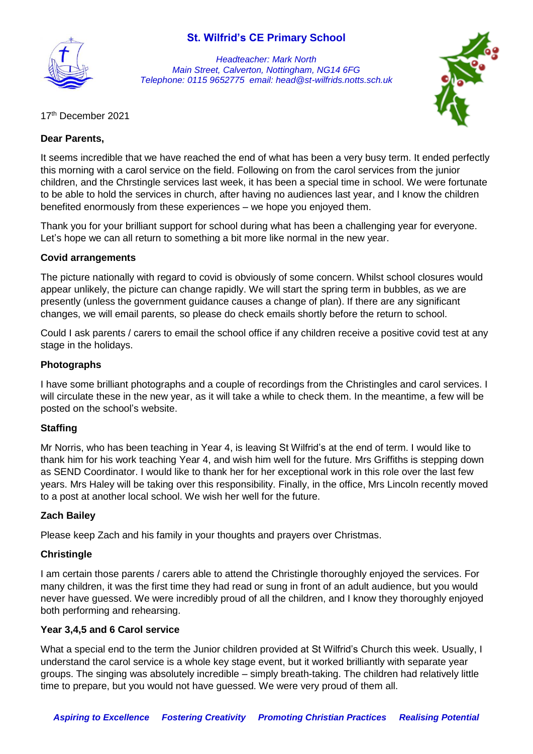

*Headteacher: Mark North Main Street, Calverton, Nottingham, NG14 6FG Telephone: 0115 9652775 email: head@st-wilfrids.notts.sch.uk*



17 th December 2021

#### **Dear Parents,**

It seems incredible that we have reached the end of what has been a very busy term. It ended perfectly this morning with a carol service on the field. Following on from the carol services from the junior children, and the Chrstingle services last week, it has been a special time in school. We were fortunate to be able to hold the services in church, after having no audiences last year, and I know the children benefited enormously from these experiences – we hope you enjoyed them.

Thank you for your brilliant support for school during what has been a challenging year for everyone. Let's hope we can all return to something a bit more like normal in the new year.

#### **Covid arrangements**

The picture nationally with regard to covid is obviously of some concern. Whilst school closures would appear unlikely, the picture can change rapidly. We will start the spring term in bubbles, as we are presently (unless the government guidance causes a change of plan). If there are any significant changes, we will email parents, so please do check emails shortly before the return to school.

Could I ask parents / carers to email the school office if any children receive a positive covid test at any stage in the holidays.

#### **Photographs**

I have some brilliant photographs and a couple of recordings from the Christingles and carol services. I will circulate these in the new year, as it will take a while to check them. In the meantime, a few will be posted on the school's website.

#### **Staffing**

Mr Norris, who has been teaching in Year 4, is leaving St Wilfrid's at the end of term. I would like to thank him for his work teaching Year 4, and wish him well for the future. Mrs Griffiths is stepping down as SEND Coordinator. I would like to thank her for her exceptional work in this role over the last few years. Mrs Haley will be taking over this responsibility. Finally, in the office, Mrs Lincoln recently moved to a post at another local school. We wish her well for the future.

## **Zach Bailey**

Please keep Zach and his family in your thoughts and prayers over Christmas.

#### **Christingle**

I am certain those parents / carers able to attend the Christingle thoroughly enjoyed the services. For many children, it was the first time they had read or sung in front of an adult audience, but you would never have guessed. We were incredibly proud of all the children, and I know they thoroughly enjoyed both performing and rehearsing.

#### **Year 3,4,5 and 6 Carol service**

What a special end to the term the Junior children provided at St Wilfrid's Church this week. Usually, I understand the carol service is a whole key stage event, but it worked brilliantly with separate year groups. The singing was absolutely incredible – simply breath-taking. The children had relatively little time to prepare, but you would not have guessed. We were very proud of them all.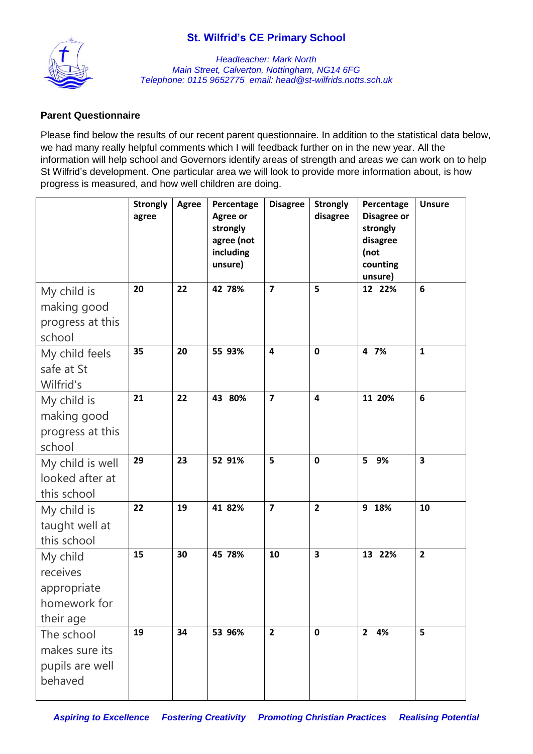

*Headteacher: Mark North Main Street, Calverton, Nottingham, NG14 6FG Telephone: 0115 9652775 email: head@st-wilfrids.notts.sch.uk*

## **Parent Questionnaire**

Please find below the results of our recent parent questionnaire. In addition to the statistical data below, we had many really helpful comments which I will feedback further on in the new year. All the information will help school and Governors identify areas of strength and areas we can work on to help St Wilfrid's development. One particular area we will look to provide more information about, is how progress is measured, and how well children are doing.

|                                                                  | <b>Strongly</b><br>agree | <b>Agree</b> | Percentage<br>Agree or<br>strongly<br>agree (not<br>including<br>unsure) | <b>Disagree</b>         | <b>Strongly</b><br>disagree | Percentage<br>Disagree or<br>strongly<br>disagree<br>(not<br>counting<br>unsure) | <b>Unsure</b>           |
|------------------------------------------------------------------|--------------------------|--------------|--------------------------------------------------------------------------|-------------------------|-----------------------------|----------------------------------------------------------------------------------|-------------------------|
| My child is<br>making good<br>progress at this<br>school         | 20                       | 22           | 42 78%                                                                   | $\overline{7}$          | 5                           | 12 22%                                                                           | $6\phantom{1}6$         |
| My child feels<br>safe at St<br>Wilfrid's                        | 35                       | 20           | 55 93%                                                                   | $\overline{\mathbf{4}}$ | $\mathbf 0$                 | 4 7%                                                                             | $\mathbf{1}$            |
| My child is<br>making good<br>progress at this<br>school         | 21                       | 22           | 43 80%                                                                   | $\overline{\mathbf{z}}$ | $\overline{\mathbf{4}}$     | 11 20%                                                                           | 6                       |
| My child is well<br>looked after at<br>this school               | 29                       | 23           | 52 91%                                                                   | 5                       | $\mathbf 0$                 | 9%<br>5                                                                          | 3                       |
| My child is<br>taught well at<br>this school                     | 22                       | 19           | 41 82%                                                                   | $\overline{7}$          | $\overline{2}$              | 9 18%                                                                            | 10                      |
| My child<br>receives<br>appropriate<br>homework for<br>their age | 15                       | 30           | 45 78%                                                                   | 10                      | $\overline{\mathbf{3}}$     | 13 22%                                                                           | $\overline{\mathbf{2}}$ |
| The school<br>makes sure its<br>pupils are well<br>behaved       | 19                       | 34           | 53 96%                                                                   | $\overline{2}$          | $\mathbf 0$                 | 2 4%                                                                             | 5                       |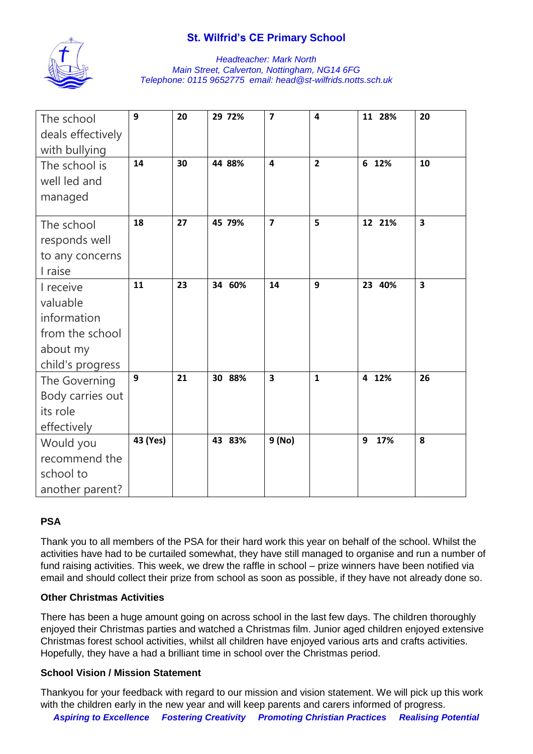

#### *Headteacher: Mark North Main Street, Calverton, Nottingham, NG14 6FG Telephone: 0115 9652775 email: head@st-wilfrids.notts.sch.uk*

| The school<br>deals effectively | 9        | 20 | 29 72% | $\overline{7}$          | $\overline{\mathbf{4}}$ | 11 28%   | 20                      |
|---------------------------------|----------|----|--------|-------------------------|-------------------------|----------|-------------------------|
| with bullying                   |          |    |        |                         |                         |          |                         |
| The school is                   | 14       | 30 | 44 88% | 4                       | $\overline{2}$          | 6 12%    | 10                      |
| well led and                    |          |    |        |                         |                         |          |                         |
| managed                         |          |    |        |                         |                         |          |                         |
|                                 |          |    |        |                         |                         |          |                         |
| The school                      | 18       | 27 | 45 79% | $\overline{7}$          | 5                       | 12 21%   | $\overline{\mathbf{3}}$ |
| responds well                   |          |    |        |                         |                         |          |                         |
| to any concerns                 |          |    |        |                         |                         |          |                         |
| I raise                         |          |    |        |                         |                         |          |                         |
| I receive                       | 11       | 23 | 34 60% | 14                      | 9                       | 23 40%   | $\overline{\mathbf{3}}$ |
| valuable                        |          |    |        |                         |                         |          |                         |
| information                     |          |    |        |                         |                         |          |                         |
| from the school                 |          |    |        |                         |                         |          |                         |
| about my                        |          |    |        |                         |                         |          |                         |
| child's progress                |          |    |        |                         |                         |          |                         |
| The Governing                   | 9        | 21 | 30 88% | $\overline{\mathbf{3}}$ | $\mathbf{1}$            | 4 12%    | 26                      |
| Body carries out                |          |    |        |                         |                         |          |                         |
| its role                        |          |    |        |                         |                         |          |                         |
| effectively                     |          |    |        |                         |                         |          |                         |
| Would you                       | 43 (Yes) |    | 43 83% | 9 (No)                  |                         | 17%<br>9 | 8                       |
| recommend the                   |          |    |        |                         |                         |          |                         |
| school to                       |          |    |        |                         |                         |          |                         |
| another parent?                 |          |    |        |                         |                         |          |                         |

# **PSA**

Thank you to all members of the PSA for their hard work this year on behalf of the school. Whilst the activities have had to be curtailed somewhat, they have still managed to organise and run a number of fund raising activities. This week, we drew the raffle in school – prize winners have been notified via email and should collect their prize from school as soon as possible, if they have not already done so.

## **Other Christmas Activities**

There has been a huge amount going on across school in the last few days. The children thoroughly enjoyed their Christmas parties and watched a Christmas film. Junior aged children enjoyed extensive Christmas forest school activities, whilst all children have enjoyed various arts and crafts activities. Hopefully, they have a had a brilliant time in school over the Christmas period.

## **School Vision / Mission Statement**

*Aspiring to Excellence Fostering Creativity Promoting Christian Practices Realising Potential* Thankyou for your feedback with regard to our mission and vision statement. We will pick up this work with the children early in the new year and will keep parents and carers informed of progress.